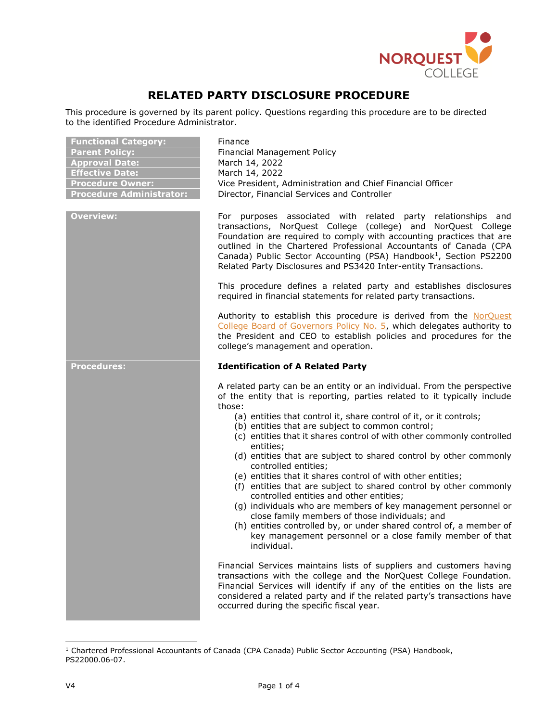

## **RELATED PARTY DISCLOSURE PROCEDURE**

This procedure is governed by its parent policy. Questions regarding this procedure are to be directed to the identified Procedure Administrator.

| <b>Functional Category:</b><br><b>Parent Policy:</b><br><b>Approval Date:</b><br><b>Effective Date:</b><br><b>Procedure Owner:</b><br><b>Procedure Administrator:</b> | Finance<br>Financial Management Policy<br>March 14, 2022<br>March 14, 2022<br>Vice President, Administration and Chief Financial Officer<br>Director, Financial Services and Controller                                                                                                                                                                                                                                                                                                                                                                                                                                                                                                                                                                                                                                                                                                                                                                                                                                                                                                                                                                                                                                                                                            |
|-----------------------------------------------------------------------------------------------------------------------------------------------------------------------|------------------------------------------------------------------------------------------------------------------------------------------------------------------------------------------------------------------------------------------------------------------------------------------------------------------------------------------------------------------------------------------------------------------------------------------------------------------------------------------------------------------------------------------------------------------------------------------------------------------------------------------------------------------------------------------------------------------------------------------------------------------------------------------------------------------------------------------------------------------------------------------------------------------------------------------------------------------------------------------------------------------------------------------------------------------------------------------------------------------------------------------------------------------------------------------------------------------------------------------------------------------------------------|
| Overview:                                                                                                                                                             | For purposes associated with related party relationships<br>and<br>transactions, NorQuest College (college) and NorQuest College<br>Foundation are required to comply with accounting practices that are<br>outlined in the Chartered Professional Accountants of Canada (CPA<br>Canada) Public Sector Accounting (PSA) Handbook <sup>1</sup> , Section PS2200<br>Related Party Disclosures and PS3420 Inter-entity Transactions.                                                                                                                                                                                                                                                                                                                                                                                                                                                                                                                                                                                                                                                                                                                                                                                                                                                  |
|                                                                                                                                                                       | This procedure defines a related party and establishes disclosures<br>required in financial statements for related party transactions.                                                                                                                                                                                                                                                                                                                                                                                                                                                                                                                                                                                                                                                                                                                                                                                                                                                                                                                                                                                                                                                                                                                                             |
|                                                                                                                                                                       | Authority to establish this procedure is derived from the NorQuest<br>College Board of Governors Policy No. 5, which delegates authority to<br>the President and CEO to establish policies and procedures for the<br>college's management and operation.                                                                                                                                                                                                                                                                                                                                                                                                                                                                                                                                                                                                                                                                                                                                                                                                                                                                                                                                                                                                                           |
| <b>Procedures:</b>                                                                                                                                                    | <b>Identification of A Related Party</b>                                                                                                                                                                                                                                                                                                                                                                                                                                                                                                                                                                                                                                                                                                                                                                                                                                                                                                                                                                                                                                                                                                                                                                                                                                           |
|                                                                                                                                                                       | A related party can be an entity or an individual. From the perspective<br>of the entity that is reporting, parties related to it typically include<br>those:<br>(a) entities that control it, share control of it, or it controls;<br>(b) entities that are subject to common control;<br>(c) entities that it shares control of with other commonly controlled<br>entities;<br>(d) entities that are subject to shared control by other commonly<br>controlled entities;<br>(e) entities that it shares control of with other entities;<br>(f) entities that are subject to shared control by other commonly<br>controlled entities and other entities;<br>(g) individuals who are members of key management personnel or<br>close family members of those individuals; and<br>(h) entities controlled by, or under shared control of, a member of<br>key management personnel or a close family member of that<br>individual.<br>Financial Services maintains lists of suppliers and customers having<br>transactions with the college and the NorQuest College Foundation.<br>Financial Services will identify if any of the entities on the lists are<br>considered a related party and if the related party's transactions have<br>occurred during the specific fiscal year. |

<sup>&</sup>lt;sup>1</sup> Chartered Professional Accountants of Canada (CPA Canada) Public Sector Accounting (PSA) Handbook, PS22000.06-07.

ł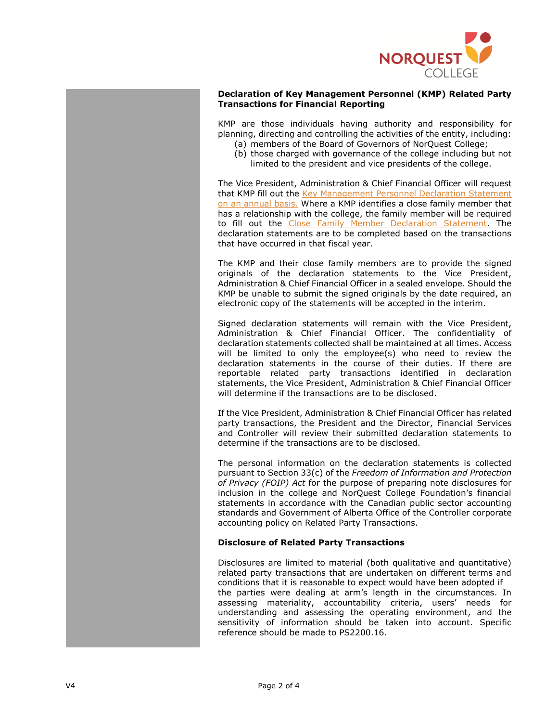

## **Declaration of Key Management Personnel (KMP) Related Party Transactions for Financial Reporting**

KMP are those individuals having authority and responsibility for planning, directing and controlling the activities of the entity, including:

- (a) members of the Board of Governors of NorQuest College;
	- (b) those charged with governance of the college including but not limited to the president and vice presidents of the college.

The Vice President, Administration & Chief Financial Officer will request that KMP fill out the [Key Management Personnel Declaration Statement](https://www.norquest.ca/NorquestCollege/media/pdf/policies/1b_NQ-Key-Management-Personnel-Declaration-Statement.pdf) on an annual basis. Where a KMP identifies a close family member that has a relationship with the college, the family member will be required to fill out the [Close Family Member Declaration Statement.](https://www.norquest.ca/NorquestCollege/media/pdf/policies/1c_NQ-Close-Family-Member-Declaration-Statement.pdf) The declaration statements are to be completed based on the transactions that have occurred in that fiscal year.

The KMP and their close family members are to provide the signed originals of the declaration statements to the Vice President, Administration & Chief Financial Officer in a sealed envelope. Should the KMP be unable to submit the signed originals by the date required, an electronic copy of the statements will be accepted in the interim.

Signed declaration statements will remain with the Vice President, Administration & Chief Financial Officer. The confidentiality of declaration statements collected shall be maintained at all times. Access will be limited to only the employee(s) who need to review the declaration statements in the course of their duties. If there are reportable related party transactions identified in declaration statements, the Vice President, Administration & Chief Financial Officer will determine if the transactions are to be disclosed.

If the Vice President, Administration & Chief Financial Officer has related party transactions, the President and the Director, Financial Services and Controller will review their submitted declaration statements to determine if the transactions are to be disclosed.

The personal information on the declaration statements is collected pursuant to Section 33(c) of the *Freedom of Information and Protection of Privacy (FOIP) Act* for the purpose of preparing note disclosures for inclusion in the college and NorQuest College Foundation's financial statements in accordance with the Canadian public sector accounting standards and Government of Alberta Office of the Controller corporate accounting policy on Related Party Transactions.

## **Disclosure of Related Party Transactions**

Disclosures are limited to material (both qualitative and quantitative) related party transactions that are undertaken on different terms and conditions that it is reasonable to expect would have been adopted if the parties were dealing at arm's length in the circumstances. In assessing materiality, accountability criteria, users' needs for understanding and assessing the operating environment, and the sensitivity of information should be taken into account. Specific reference should be made to PS2200.16.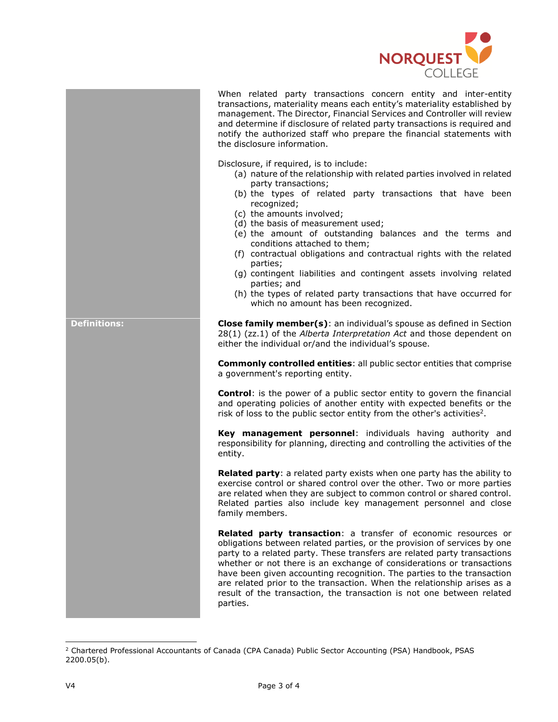

When related party transactions concern entity and inter-entity transactions, materiality means each entity's materiality established by management. The Director, Financial Services and Controller will review and determine if disclosure of related party transactions is required and notify the authorized staff who prepare the financial statements with the disclosure information.

Disclosure, if required, is to include:

- (a) nature of the relationship with related parties involved in related party transactions;
- (b) the types of related party transactions that have been recognized;
- (c) the amounts involved;
- (d) the basis of measurement used;
- (e) the amount of outstanding balances and the terms and conditions attached to them;
- (f) contractual obligations and contractual rights with the related parties;
- (g) contingent liabilities and contingent assets involving related parties; and
- (h) the types of related party transactions that have occurred for which no amount has been recognized.

**Definitions: Close family member(s)**: an individual's spouse as defined in Section 28(1) (zz.1) of the *Alberta Interpretation Act* and those dependent on either the individual or/and the individual's spouse.

> **Commonly controlled entities**: all public sector entities that comprise a government's reporting entity.

> **Control**: is the power of a public sector entity to govern the financial and operating policies of another entity with expected benefits or the risk of loss to the public sector entity from the other's activities<sup>2</sup>.

> **Key management personnel**: individuals having authority and responsibility for planning, directing and controlling the activities of the entity.

> **Related party**: a related party exists when one party has the ability to exercise control or shared control over the other. Two or more parties are related when they are subject to common control or shared control. Related parties also include key management personnel and close family members.

> **Related party transaction**: a transfer of economic resources or obligations between related parties, or the provision of services by one party to a related party. These transfers are related party transactions whether or not there is an exchange of considerations or transactions have been given accounting recognition. The parties to the transaction are related prior to the transaction. When the relationship arises as a result of the transaction, the transaction is not one between related parties.

ł

<sup>&</sup>lt;sup>2</sup> Chartered Professional Accountants of Canada (CPA Canada) Public Sector Accounting (PSA) Handbook, PSAS 2200.05(b).